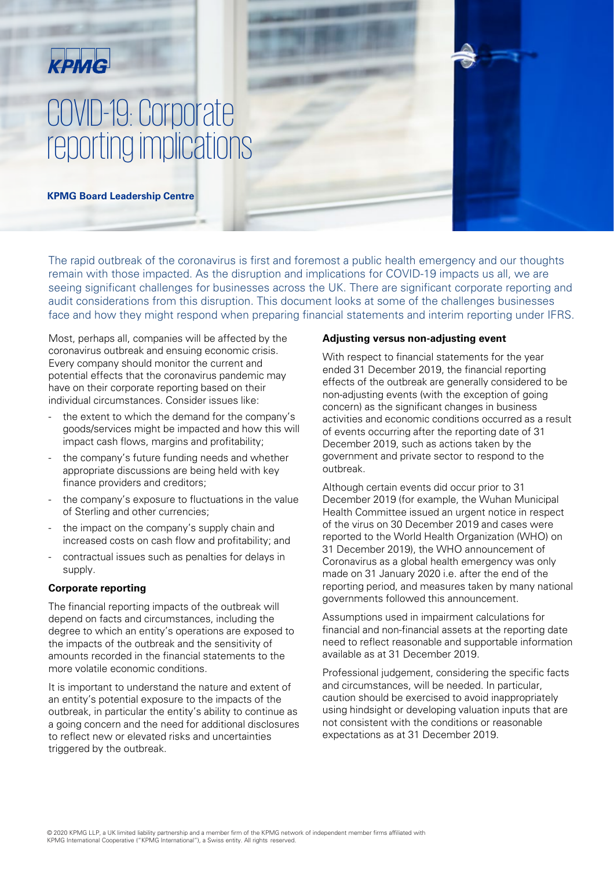# KPMG

# COVID-19: Corporate reporting implications

**KPMG Board Leadership Centre** 

The rapid outbreak of the coronavirus is first and foremost a public health emergency and our thoughts remain with those impacted. As the disruption and implications for COVID-19 impacts us all, we are seeing significant challenges for businesses across the UK. There are significant corporate reporting and audit considerations from this disruption. This document looks at some of the challenges businesses face and how they might respond when preparing financial statements and interim reporting under IFRS.

Most, perhaps all, companies will be affected by the coronavirus outbreak and ensuing economic crisis. Every company should monitor the current and potential effects that the coronavirus pandemic may have on their corporate reporting based on their individual circumstances. Consider issues like:

- the extent to which the demand for the company's goods/services might be impacted and how this will impact cash flows, margins and profitability;
- the company's future funding needs and whether appropriate discussions are being held with key finance providers and creditors;
- the company's exposure to fluctuations in the value of Sterling and other currencies;
- the impact on the company's supply chain and increased costs on cash flow and profitability; and
- contractual issues such as penalties for delays in supply.

# **Corporate reporting**

The financial reporting impacts of the outbreak will depend on facts and circumstances, including the degree to which an entity's operations are exposed to the impacts of the outbreak and the sensitivity of amounts recorded in the financial statements to the more volatile economic conditions.

It is important to understand the nature and extent of an entity's potential exposure to the impacts of the outbreak, in particular the entity's ability to continue as a going concern and the need for additional disclosures to reflect new or elevated risks and uncertainties triggered by the outbreak.

#### **Adjusting versus non-adjusting event**

With respect to financial statements for the year ended 31 December 2019, the financial reporting effects of the outbreak are generally considered to be non-adjusting events (with the exception of going concern) as the significant changes in business activities and economic conditions occurred as a result of events occurring after the reporting date of 31 December 2019, such as actions taken by the government and private sector to respond to the outbreak.

Although certain events did occur prior to 31 December 2019 (for example, the Wuhan Municipal Health Committee issued an urgent notice in respect of the virus on 30 December 2019 and cases were reported to the World Health Organization (WHO) on 31 December 2019), the WHO announcement of Coronavirus as a global health emergency was only made on 31 January 2020 i.e. after the end of the reporting period, and measures taken by many national governments followed this announcement.

Assumptions used in impairment calculations for financial and non-financial assets at the reporting date need to reflect reasonable and supportable information available as at 31 December 2019.

Professional judgement, considering the specific facts and circumstances, will be needed. In particular, caution should be exercised to avoid inappropriately using hindsight or developing valuation inputs that are not consistent with the conditions or reasonable expectations as at 31 December 2019.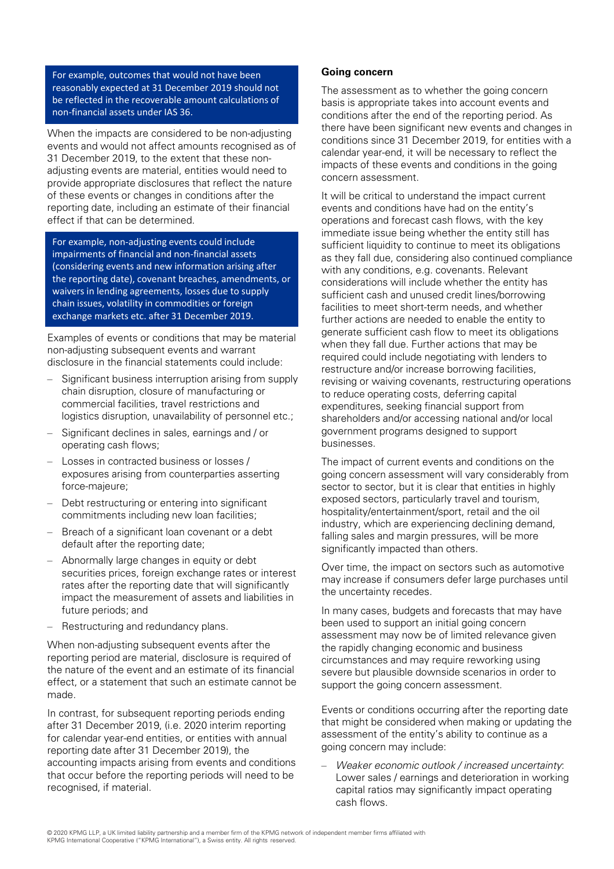For example, outcomes that would not have been reasonably expected at 31 December 2019 should not be reflected in the recoverable amount calculations of non-financial assets under IAS 36.

When the impacts are considered to be non-adjusting events and would not affect amounts recognised as of 31 December 2019, to the extent that these nonadjusting events are material, entities would need to provide appropriate disclosures that reflect the nature of these events or changes in conditions after the reporting date, including an estimate of their financial effect if that can be determined.

For example, non-adjusting events could include impairments of financial and non-financial assets (considering events and new information arising after the reporting date), covenant breaches, amendments, or waivers in lending agreements, losses due to supply chain issues, volatility in commodities or foreign exchange markets etc. after 31 December 2019.

Examples of events or conditions that may be material non-adjusting subsequent events and warrant disclosure in the financial statements could include:

- Significant business interruption arising from supply chain disruption, closure of manufacturing or commercial facilities, travel restrictions and logistics disruption, unavailability of personnel etc.;
- ‒ Significant declines in sales, earnings and / or operating cash flows;
- Losses in contracted business or losses / exposures arising from counterparties asserting force-majeure;
- Debt restructuring or entering into significant commitments including new loan facilities;
- Breach of a significant loan covenant or a debt default after the reporting date;
- ‒ Abnormally large changes in equity or debt securities prices, foreign exchange rates or interest rates after the reporting date that will significantly impact the measurement of assets and liabilities in future periods; and
- Restructuring and redundancy plans.

When non-adjusting subsequent events after the reporting period are material, disclosure is required of the nature of the event and an estimate of its financial effect, or a statement that such an estimate cannot be made.

In contrast, for subsequent reporting periods ending after 31 December 2019, (i.e. 2020 interim reporting for calendar year-end entities, or entities with annual reporting date after 31 December 2019), the accounting impacts arising from events and conditions that occur before the reporting periods will need to be recognised, if material.

#### **Going concern**

The assessment as to whether the going concern basis is appropriate takes into account events and conditions after the end of the reporting period. As there have been significant new events and changes in conditions since 31 December 2019, for entities with a calendar year-end, it will be necessary to reflect the impacts of these events and conditions in the going concern assessment.

It will be critical to understand the impact current events and conditions have had on the entity's operations and forecast cash flows, with the key immediate issue being whether the entity still has sufficient liquidity to continue to meet its obligations as they fall due, considering also continued compliance with any conditions, e.g. covenants. Relevant considerations will include whether the entity has sufficient cash and unused credit lines/borrowing facilities to meet short-term needs, and whether further actions are needed to enable the entity to generate sufficient cash flow to meet its obligations when they fall due. Further actions that may be required could include negotiating with lenders to restructure and/or increase borrowing facilities, revising or waiving covenants, restructuring operations to reduce operating costs, deferring capital expenditures, seeking financial support from shareholders and/or accessing national and/or local government programs designed to support businesses.

The impact of current events and conditions on the going concern assessment will vary considerably from sector to sector, but it is clear that entities in highly exposed sectors, particularly travel and tourism, hospitality/entertainment/sport, retail and the oil industry, which are experiencing declining demand, falling sales and margin pressures, will be more significantly impacted than others.

Over time, the impact on sectors such as automotive may increase if consumers defer large purchases until the uncertainty recedes.

In many cases, budgets and forecasts that may have been used to support an initial going concern assessment may now be of limited relevance given the rapidly changing economic and business circumstances and may require reworking using severe but plausible downside scenarios in order to support the going concern assessment.

Events or conditions occurring after the reporting date that might be considered when making or updating the assessment of the entity's ability to continue as a going concern may include:

Weaker economic outlook / increased uncertainty: Lower sales / earnings and deterioration in working capital ratios may significantly impact operating cash flows.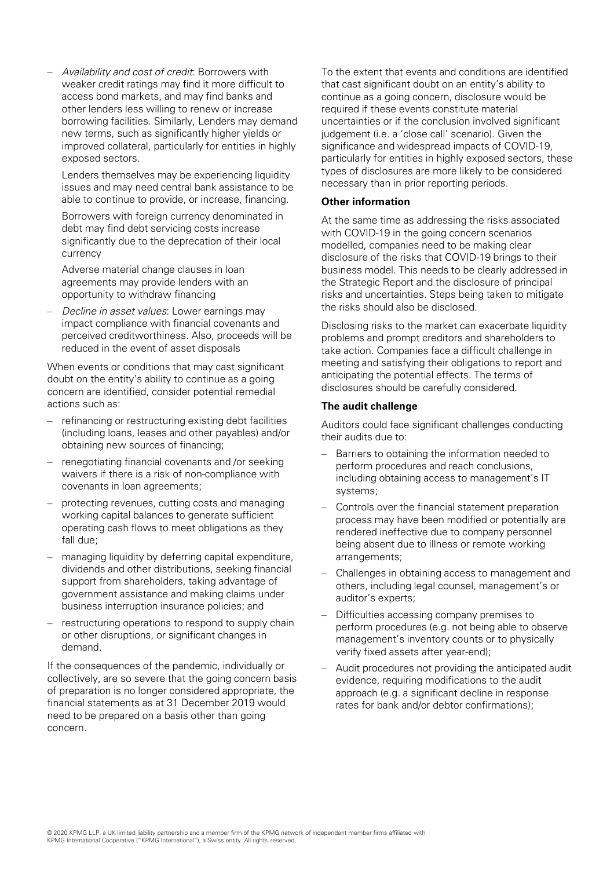‒ Availability and cost of credit: Borrowers with weaker credit ratings may find it more difficult to access bond markets, and may find banks and other lenders less willing to renew or increase borrowing facilities. Similarly, Lenders may demand new terms, such as significantly higher yields or improved collateral, particularly for entities in highly exposed sectors.

Lenders themselves may be experiencing liquidity issues and may need central bank assistance to be able to continue to provide, or increase, financing.

Borrowers with foreign currency denominated in debt may find debt servicing costs increase significantly due to the deprecation of their local currency

Adverse material change clauses in loan agreements may provide lenders with an opportunity to withdraw financing

Decline in asset values: Lower earnings may impact compliance with financial covenants and perceived creditworthiness. Also, proceeds will be reduced in the event of asset disposals

When events or conditions that may cast significant doubt on the entity's ability to continue as a going concern are identified, consider potential remedial actions such as:

- ‒ refinancing or restructuring existing debt facilities (including loans, leases and other payables) and/or obtaining new sources of financing;
- ‒ renegotiating financial covenants and /or seeking waivers if there is a risk of non-compliance with covenants in loan agreements;
- ‒ protecting revenues, cutting costs and managing working capital balances to generate sufficient operating cash flows to meet obligations as they fall due;
- managing liquidity by deferring capital expenditure, dividends and other distributions, seeking financial support from shareholders, taking advantage of government assistance and making claims under business interruption insurance policies; and
- restructuring operations to respond to supply chain or other disruptions, or significant changes in demand.

If the consequences of the pandemic, individually or collectively, are so severe that the going concern basis of preparation is no longer considered appropriate, the financial statements as at 31 December 2019 would need to be prepared on a basis other than going concern.

To the extent that events and conditions are identified that cast significant doubt on an entity's ability to continue as a going concern, disclosure would be required if these events constitute material uncertainties or if the conclusion involved significant judgement (i.e. a 'close call' scenario). Given the significance and widespread impacts of COVID-19, particularly for entities in highly exposed sectors, these types of disclosures are more likely to be considered necessary than in prior reporting periods.

#### **Other information**

At the same time as addressing the risks associated with COVID-19 in the going concern scenarios modelled, companies need to be making clear disclosure of the risks that COVID-19 brings to their business model. This needs to be clearly addressed in the Strategic Report and the disclosure of principal risks and uncertainties. Steps being taken to mitigate the risks should also be disclosed.

Disclosing risks to the market can exacerbate liquidity problems and prompt creditors and shareholders to take action. Companies face a difficult challenge in meeting and satisfying their obligations to report and anticipating the potential effects. The terms of disclosures should be carefully considered.

#### **The audit challenge**

Auditors could face significant challenges conducting their audits due to:

- Barriers to obtaining the information needed to perform procedures and reach conclusions, including obtaining access to management's IT systems;
- Controls over the financial statement preparation process may have been modified or potentially are rendered ineffective due to company personnel being absent due to illness or remote working arrangements;
- ‒ Challenges in obtaining access to management and others, including legal counsel, management's or auditor's experts;
- ‒ Difficulties accessing company premises to perform procedures (e.g. not being able to observe management's inventory counts or to physically verify fixed assets after year-end);
- Audit procedures not providing the anticipated audit evidence, requiring modifications to the audit approach (e.g. a significant decline in response rates for bank and/or debtor confirmations);